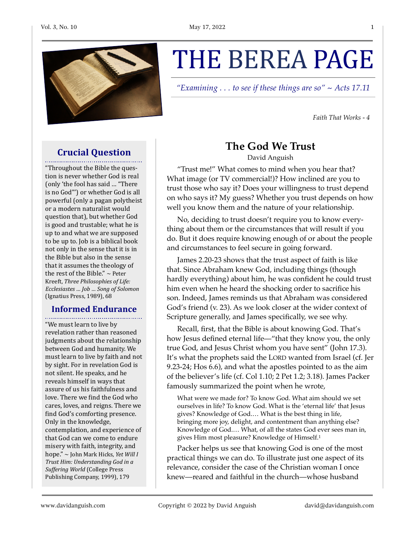

# THE BEREA PAGE

*"Examining . . . to see if these things are so" ~ Acts 17.11*

*Faith That Works - 4*

#### **Crucial Question**

"Throughout the Bible the question is never whether God is real (only 'the fool has said ... "There is no God"') or whether God is all powerful (only a pagan polytheist or a modern naturalist would question that), but whether God is good and trustable; what he is up to and what we are supposed to be up to. Job is a biblical book not only in the sense that it is in the Bible but also in the sense that it assumes the theology of the rest of the Bible."  $\sim$  Peter Kreeft, Three Philosophies of Life: *Ecclesiastes … Job … Song of Solomon* (Ignatius Press, 1989), 68

## **Informed Endurance**

"We must learn to live by revelation rather than reasoned judgments about the relationship between God and humanity. We must learn to live by faith and not by sight. For in revelation God is not silent. He speaks, and he reveals himself in ways that assure of us his faithfulness and love. There we find the God who cares, loves, and reigns. There we find God's comforting presence. Only in the knowledge, contemplation, and experience of that God can we come to endure misery with faith, integrity, and hope." ~ John Mark Hicks, *Yet Will I* **Trust Him: Understanding God in a** *Suffering World* (College Press Publishing Company, 1999), 179

### **The God We Trust**

David Anguish

"Trust me!" What comes to mind when you hear that? What image (or TV commercial!)? How inclined are you to trust those who say it? Does your willingness to trust depend on who says it? My guess? Whether you trust depends on how well you know them and the nature of your relationship.

No, deciding to trust doesn't require you to know everything about them or the circumstances that will result if you do. But it does require knowing enough of or about the people and circumstances to feel secure in going forward.

James 2.20-23 shows that the trust aspect of faith is like that. Since Abraham knew God, including things (though hardly everything) about him, he was confident he could trust him even when he heard the shocking order to sacrifice his son. Indeed, James reminds us that Abraham was considered God's friend (v. 23). As we look closer at the wider context of Scripture generally, and James specifically, we see why.

Recall, first, that the Bible is about knowing God. That's how Jesus defined eternal life—"that they know you, the only true God, and Jesus Christ whom you have sent" (John 17.3). It's what the prophets said the LORD wanted from Israel (cf. Jer 9.23-24; Hos 6.6), and what the apostles pointed to as the aim of the believer's life (cf. Col 1.10; 2 Pet 1.2; 3.18). James Packer famously summarized the point when he wrote,

<span id="page-0-0"></span>What were we made for? To know God. What aim should we set ourselves in life? To know God. What is the 'eternal life' that Jesus gives? Knowledge of God.… What is the best thing in life, bringing more joy, delight, and contentment than anything else? Knowledge of God.… What, of all the states God ever sees man in, gives Him most pleasure? Knowledge of Himself[.1](#page-1-0)

Packer helps us see that knowing God is one of the most practical things we can do. To illustrate just one aspect of its relevance, consider the case of the Christian woman I once knew—reared and faithful in the church—whose husband